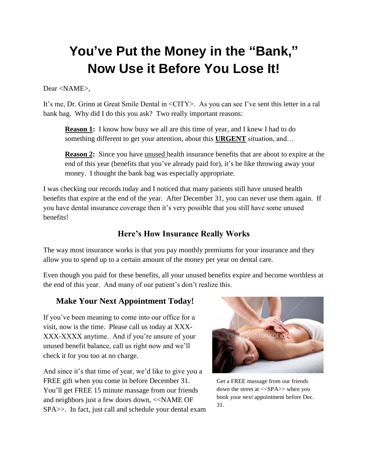## **You've Put the Money in the "Bank," Now Use it Before You Lose It!**

Dear <NAME>,

It's me, Dr. Grinn at Great Smile Dental in <CITY>. As you can see I've sent this letter in a ral bank bag. Why did I do this you ask? Two really important reasons:

**Reason 1:** I know how busy we all are this time of year, and I knew I had to do something different to get your attention, about this **URGENT** situation, and…

**Reason 2:** Since you have unused health insurance benefits that are about to expire at the end of this year (benefits that you've already paid for), it's be like throwing away your money. I thought the bank bag was especially appropriate.

I was checking our records today and I noticed that many patients still have unused health benefits that expire at the end of the year. After December 31, you can never use them again. If you have dental insurance coverage then it's very possible that you still have some unused benefits!

## **Here's How Insurance Really Works**

The way most insurance works is that you pay monthly premiums for your insurance and they allow you to spend up to a certain amount of the money per year on dental care.

Even though you paid for these benefits, all your unused benefits expire and become worthless at the end of this year. And many of our patient's don't realize this.

## **Make Your Next Appointment Today!**

If you've been meaning to come into our office for a visit, now is the time. Please call us today at XXX-XXX-XXXX anytime. And if you're unsure of your unused benefit balance, call us right now and we'll check it for you too at no charge.

And since it's that time of year, we'd like to give you a FREE gift when you come in before December 31. You'll get FREE 15 minute massage from our friends and neighbors just a few doors down, <<NAME OF SPA>>. In fact, just call and schedule your dental exam



Get a FREE massage from our friends down the street at <<SPA>> when you book your next appointment before Dec. 31.